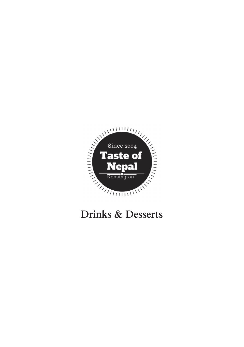

# **Drinks & Desserts**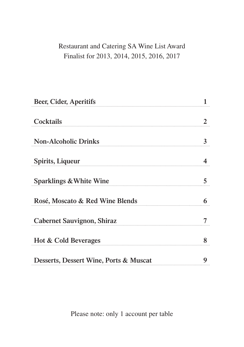# Restaurant and Catering SA Wine List Award Finalist for 2013, 2014, 2015, 2016, 2017

| Beer, Cider, Aperitifs                 |                |
|----------------------------------------|----------------|
| Cocktails                              | $\overline{2}$ |
| <b>Non-Alcoholic Drinks</b>            | $\mathbf{3}$   |
| Spirits, Liqueur                       | 4              |
| Sparklings & White Wine                | 5              |
| Rosé, Moscato & Red Wine Blends        | 6              |
| Cabernet Sauvignon, Shiraz             |                |
| Hot & Cold Beverages                   | 8              |
| Desserts, Dessert Wine, Ports & Muscat | 9              |

Please note: only 1 account per table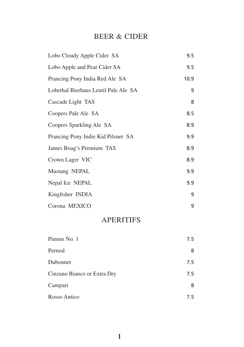#### BEER & CIDER

| Lobo Cloudy Apple Cider SA           | 9.5  |
|--------------------------------------|------|
| Lobo Apple and Pear Cider SA         | 9.5  |
| Prancing Pony India Red Ale SA       | 10.9 |
| Lobethal Bierhaus Lentil Pale Ale SA | 9    |
| Cascade Light TAS                    | 8    |
| Coopers Pale Ale SA                  | 8.5  |
| Coopers Sparkling Ale SA             | 8.9  |
| Prancing Pony Indie Kid Pilsner SA   | 9.9  |
| James Boag's Premium TAS             | 8.9  |
| Crown Lager VIC                      | 8.9  |
| Mustang NEPAL                        | 9.9  |
| Nepal Ice NEPAL                      | 9.9  |
| Kingfisher INDIA                     | 9    |
| Corona MEXICO                        | 9    |

# APERITIFS

| Pimms No. 1                 | 7.5 |
|-----------------------------|-----|
| Pernod                      | 8   |
| Dubonnet                    | 7.5 |
| Cinzano Bianco or Extra Dry | 7.5 |
| Campari                     | 8   |
| Rosso Antico                | 75  |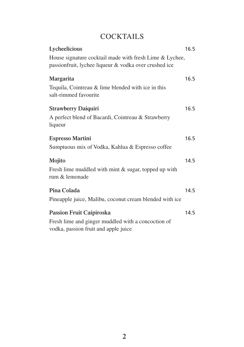# **COCKTAILS**

| Lycheelicious                                                                 | 16.5 |
|-------------------------------------------------------------------------------|------|
| House signature cocktail made with fresh Lime & Lychee,                       |      |
| passionfruit, lychee liqueur & vodka over crushed ice                         |      |
| Margarita                                                                     | 16.5 |
| Tequila, Cointreau $&$ lime blended with ice in this<br>salt-rimmed favourite |      |
| <b>Strawberry Daiquiri</b>                                                    | 16.5 |
| A perfect blend of Bacardi, Cointreau & Strawberry                            |      |
| liqueur                                                                       |      |
| <b>Espresso Martini</b>                                                       | 16.5 |
| Sumptuous mix of Vodka, Kahlua & Espresso coffee                              |      |
| Mojito                                                                        | 14.5 |
| Fresh lime muddled with mint & sugar, topped up with<br>rum & lemonade        |      |
| Pina Colada                                                                   | 14.5 |
| Pineapple juice, Malibu, coconut cream blended with ice                       |      |
| Passion Fruit Caipiroska                                                      | 14.5 |
| Fresh lime and ginger muddled with a concoction of                            |      |
| vodka, passion fruit and apple juice                                          |      |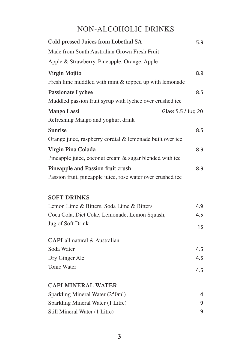# NON-ALCOHOLIC DRINKS

| Cold pressed Juices from Lobethal SA                        | 5.9 |
|-------------------------------------------------------------|-----|
| Made from South Australian Grown Fresh Fruit                |     |
| Apple & Strawberry, Pineapple, Orange, Apple                |     |
| <b>Virgin Mojito</b>                                        | 8.9 |
| Fresh lime muddled with mint & topped up with lemonade      |     |
| <b>Passionate Lychee</b>                                    | 8.5 |
| Muddled passion fruit syrup with lychee over crushed ice    |     |
| <b>Mango Lassi</b><br>Glass 5.5 / Jug 20                    |     |
| Refreshing Mango and yoghurt drink                          |     |
| <b>Sunrise</b>                                              | 8.5 |
| Orange juice, raspberry cordial & lemonade built over ice   |     |
| Virgin Pina Colada                                          | 8.9 |
| Pineapple juice, coconut cream & sugar blended with ice     |     |
| Pineapple and Passion fruit crush                           | 8.9 |
| Passion fruit, pineapple juice, rose water over crushed ice |     |
| <b>SOFT DRINKS</b>                                          |     |
| Lemon Lime & Bitters, Soda Lime & Bitters                   | 4.9 |
| Coca Cola, Diet Coke, Lemonade, Lemon Squash,               | 4.5 |
| Jug of Soft Drink                                           | 15  |
| CAPI all natural & Australian                               |     |
| Soda Water                                                  | 4.5 |
| Dry Ginger Ale                                              | 4.5 |
| Tonic Water                                                 | 4.5 |
| <b>CAPI MINERAL WATER</b>                                   |     |
| Sparkling Mineral Water (250ml)                             | 4   |
| Sparkling Mineral Water (1 Litre)                           | 9   |
| Still Mineral Water (1 Litre)                               | 9   |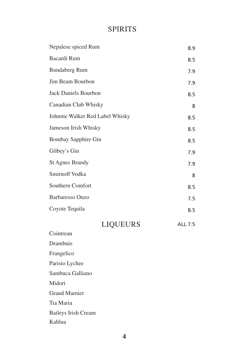## **SPIRITS**

| Nepalese spiced Rum             | 8.9            |
|---------------------------------|----------------|
| Bacardi Rum                     | 8.5            |
| <b>Bundaberg Rum</b>            | 7.9            |
| Jim Beam Bourbon                | 7.9            |
| Jack Daniels Bourbon            | 8.5            |
| Canadian Club Whisky            | 8              |
| Johnnie Walker Red Label Whisky | 8.5            |
| Jameson Irish Whisky            | 8.5            |
| Bombay Sapphire Gin             | 8.5            |
| Gilbey's Gin                    | 7.9            |
| <b>St Agnes Brandy</b>          | 7.9            |
| Smirnoff Vodka                  | 8              |
| Southern Comfort                | 8.5            |
| <b>Barbaresso Ouzo</b>          | 7.5            |
| Coyote Tequila                  | 8.5            |
| <b>LIQUEURS</b>                 | <b>ALL 7.5</b> |
| Cointreau                       |                |

Cointreau Drambuie Frangelico Parisio Lychee Sambuca Galliano Midori Grand Marnier Tia Maria Baileys Irish Cream Kahlua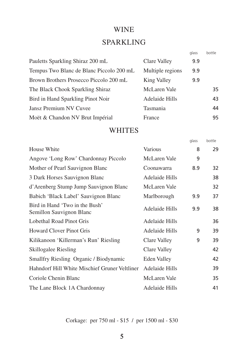#### WINE

#### SPARKLING

|                                          |                  | glass | bottle |
|------------------------------------------|------------------|-------|--------|
| Pauletts Sparkling Shiraz 200 mL         | Clare Valley     | 9.9   |        |
| Tempus Two Blanc de Blanc Piccolo 200 mL | Multiple regions | 9.9   |        |
| Brown Brothers Prosecco Piccolo 200 mL   | King Valley      | 9.9   |        |
| The Black Chook Sparkling Shiraz         | McLaren Vale     |       | 35     |
| Bird in Hand Sparkling Pinot Noir        | Adelaide Hills   |       | 43     |
| Jansz Premium NV Cuvee                   | Tasmania         |       | 44     |
| Moët & Chandon NV Brut Impérial          | France           |       | 95     |

#### WHITES

|                                                            |                | glass | bottle |
|------------------------------------------------------------|----------------|-------|--------|
| House White                                                | Various        | 8     | 29     |
| Angove 'Long Row' Chardonnay Piccolo                       | McLaren Vale   | 9     |        |
| Mother of Pearl Sauvignon Blanc                            | Coonawarra     | 8.9   | 32     |
| 3 Dark Horses Sauvignon Blanc                              | Adelaide Hills |       | 38     |
| d'Arenberg Stump Jump Sauvignon Blanc                      | McLaren Vale   |       | 32     |
| Babich 'Black Label' Sauvignon Blanc                       | Marlborough    | 9.9   | 37     |
| Bird in Hand 'Two in the Bush'<br>Semillon Sauvignon Blanc | Adelaide Hills | 9.9   | 38     |
| Lobethal Road Pinot Gris                                   | Adelaide Hills |       | 36     |
| <b>Howard Clover Pinot Gris</b>                            | Adelaide Hills | 9     | 39     |
| Kilikanoon 'Killerman's Run' Riesling                      | Clare Valley   | 9     | 39     |
| Skillogalee Riesling                                       | Clare Valley   |       | 42     |
| Smallfry Riesling Organic / Biodynamic                     | Eden Valley    |       | 42     |
| Hahndorf Hill White Mischief Gruner Veltliner              | Adelaide Hills |       | 39     |
| Coriole Chenin Blanc                                       | McLaren Vale   |       | 35     |
| The Lane Block 1A Chardonnay                               | Adelaide Hills |       | 41     |

Corkage: per 750 ml - \$15 / per 1500 ml - \$30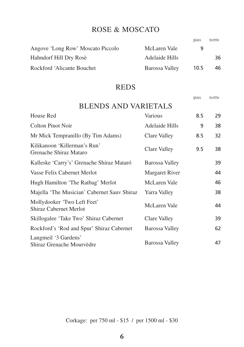#### ROSE & MOSCATO

glass bottle

| McLaren Vale   | q    |    |
|----------------|------|----|
| Adelaide Hills |      | 36 |
| Barossa Valley | 10.5 | 46 |
|                |      |    |

#### REDS

|                                                              |                     | glass | bottle |
|--------------------------------------------------------------|---------------------|-------|--------|
| <b>BLENDS AND VARIETALS</b>                                  |                     |       |        |
| House Red                                                    | <b>Various</b>      | 8.5   | 29     |
| <b>Colton Pinot Noir</b>                                     | Adelaide Hills      | 9     | 38     |
| Mr Mick Tempranillo (By Tim Adams)                           | Clare Valley        | 8.5   | 32     |
| Kilikanoon 'Killerman's Run'<br>Grenache Shiraz Mataro       | Clare Valley        | 9.5   | 38     |
| Kalleske 'Carry's' Grenache Shiraz Mataró                    | Barossa Valley      |       | 39     |
| Vasse Felix Cabernet Merlot                                  | Margaret River      |       | 44     |
| Hugh Hamilton 'The Ratbag' Merlot                            | <b>McLaren Vale</b> |       | 46     |
| Majella 'The Musician' Cabernet Sauv Shiraz                  | Yarra Valley        |       | 38     |
| Mollydooker 'Two Left Feet'<br><b>Shiraz Cabernet Merlot</b> | McLaren Vale        |       | 44     |
| Skillogalee 'Take Two' Shiraz Cabernet                       | Clare Valley        |       | 39     |
| Rockford's 'Rod and Spur' Shiraz Cabernet                    | Barossa Valley      |       | 62     |
| Langmeil '3 Gardens'<br>Shiraz Grenache Mourvèdre            | Barossa Valley      |       | 47     |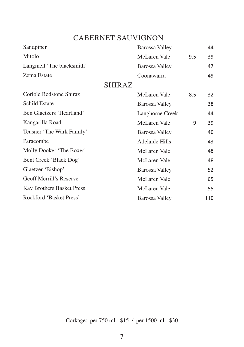## CABERNET SAUVIGNON

| Sandpiper                      |               | <b>Barossa Valley</b> |     | 44  |
|--------------------------------|---------------|-----------------------|-----|-----|
| Mitolo                         |               | McLaren Vale          | 9.5 | 39  |
| Langmeil 'The blacksmith'      |               | Barossa Valley        |     | 47  |
| Zema Estate                    |               | Coonawarra            |     | 49  |
|                                | <b>SHIRAZ</b> |                       |     |     |
| Coriole Redstone Shiraz        |               | McLaren Vale          | 8.5 | 32  |
| <b>Schild Estate</b>           |               | Barossa Valley        |     | 38  |
| Ben Glaetzers 'Heartland'      |               | Langhorne Creek       |     | 44  |
| Kangarilla Road                |               | <b>McLaren Vale</b>   | 9   | 39  |
| Teusner 'The Wark Family'      |               | <b>Barossa Valley</b> |     | 40  |
| Paracombe                      |               | <b>Adelaide Hills</b> |     | 43  |
| Molly Dooker 'The Boxer'       |               | McLaren Vale          |     | 48  |
| Bent Creek 'Black Dog'         |               | McLaren Vale          |     | 48  |
| Glaetzer 'Bishop'              |               | <b>Barossa Valley</b> |     | 52  |
| <b>Geoff Merrill's Reserve</b> |               | McLaren Vale          |     | 65  |
| Kay Brothers Basket Press      |               | McLaren Vale          |     | 55  |
| Rockford 'Basket Press'        |               | Barossa Valley        |     | 110 |

Corkage: per 750 ml - \$15 / per 1500 ml - \$30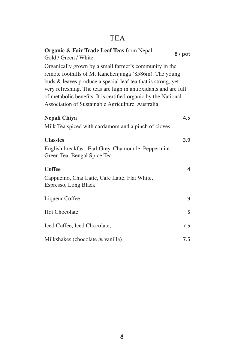# TEA

| Organic & Fair Trade Leaf Teas from Nepal:<br>Gold / Green / White                                                                                                                                                                                                                                                                                                          | 8/pot |
|-----------------------------------------------------------------------------------------------------------------------------------------------------------------------------------------------------------------------------------------------------------------------------------------------------------------------------------------------------------------------------|-------|
| Organically grown by a small farmer's community in the<br>remote foothills of Mt Kanchenjunga (8586m). The young<br>buds & leaves produce a special leaf tea that is strong, yet<br>very refreshing. The teas are high in antioxidants and are full<br>of metabolic benefits. It is certified organic by the National<br>Association of Sustainable Agriculture, Australia. |       |
| Nepali Chiya                                                                                                                                                                                                                                                                                                                                                                | 4.5   |
| Milk Tea spiced with cardamom and a pinch of cloves                                                                                                                                                                                                                                                                                                                         |       |
| <b>Classics</b><br>English breakfast, Earl Grey, Chamomile, Peppermint,<br>Green Tea, Bengal Spice Tea                                                                                                                                                                                                                                                                      | 3.9   |
| <b>Coffee</b>                                                                                                                                                                                                                                                                                                                                                               | 4     |
| Cappucino, Chai Latte, Cafe Latte, Flat White,<br>Espresso, Long Black                                                                                                                                                                                                                                                                                                      |       |
| Liqueur Coffee                                                                                                                                                                                                                                                                                                                                                              | 9     |
| <b>Hot Chocolate</b>                                                                                                                                                                                                                                                                                                                                                        | 5     |
| Iced Coffee, Iced Chocolate,                                                                                                                                                                                                                                                                                                                                                | 7.5   |
| Milkshakes (chocolate & vanilla)                                                                                                                                                                                                                                                                                                                                            | 7.5   |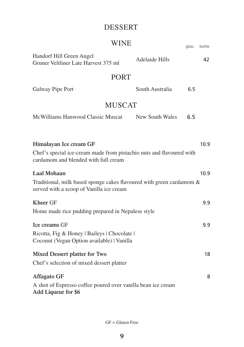# DESSERT

| <b>WINE</b>                                                                                                                                    |                 | glass | bottle |
|------------------------------------------------------------------------------------------------------------------------------------------------|-----------------|-------|--------|
| Handorf Hill Green Angel<br>Gruner Veltliner Late Harvest 375 ml                                                                               | Adelaide Hills  |       | 42     |
| <b>PORT</b>                                                                                                                                    |                 |       |        |
| Galway Pipe Port                                                                                                                               | South Australia | 6.5   |        |
| <b>MUSCAT</b>                                                                                                                                  |                 |       |        |
| McWilliams Hanwood Classic Muscat                                                                                                              | New South Wales | 6.5   |        |
|                                                                                                                                                |                 |       |        |
| Himalayan Ice cream GF<br>10.9<br>Chef's special ice-cream made from pistachio nuts and flavoured with<br>cardamom and blended with full cream |                 |       |        |
| <b>Laal Mohaan</b>                                                                                                                             |                 |       | 10.9   |
| Traditional, milk based sponge cakes flavoured with green cardamom &<br>served with a scoop of Vanilla ice cream                               |                 |       |        |
| <b>Kheer GF</b>                                                                                                                                |                 |       | 9.9    |
| Home made rice pudding prepared in Nepalese style                                                                                              |                 |       |        |
| <b>Ice creams GF</b>                                                                                                                           |                 |       | 9.9    |
| Ricotta, Fig & Honey   Baileys   Chocolate  <br>Coconut (Vegan Option available)   Vanilla                                                     |                 |       |        |
| Mixed Dessert platter for Two                                                                                                                  |                 |       | 18     |
| Chef's selection of mixed dessert platter                                                                                                      |                 |       |        |
| <b>Affagato GF</b>                                                                                                                             |                 |       | 8      |
| A shot of Espresso coffee poured over vanilla bean ice cream<br>Add Liqueur for \$6                                                            |                 |       |        |

GF = Gluten Free